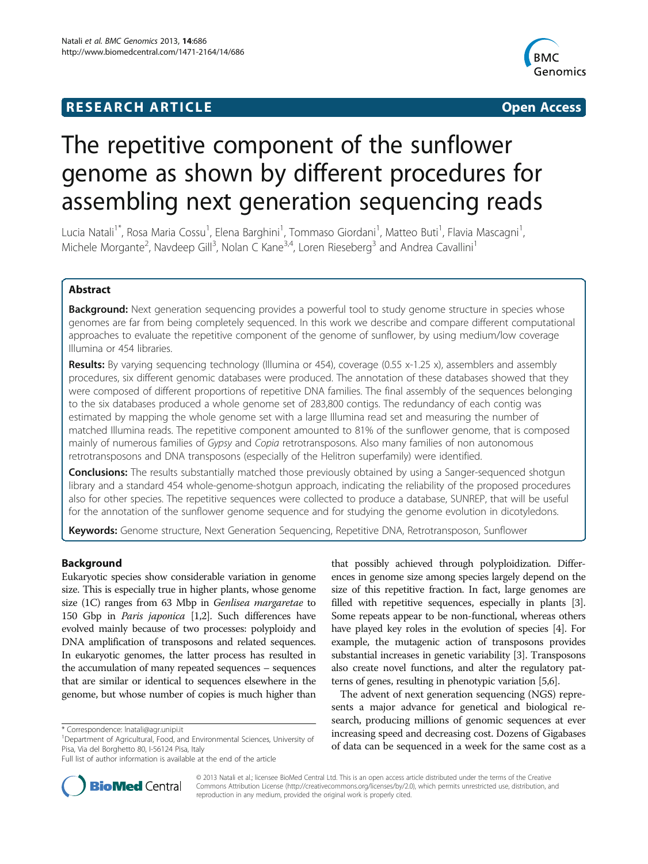## **RESEARCH ARTICLE Example 2014 12:30 The SEAR CHA RESEARCH ARTICLE**



# The repetitive component of the sunflower genome as shown by different procedures for assembling next generation sequencing reads

Lucia Natali<sup>1\*</sup>, Rosa Maria Cossu<sup>1</sup>, Elena Barghini<sup>1</sup>, Tommaso Giordani<sup>1</sup>, Matteo Buti<sup>1</sup>, Flavia Mascagni<sup>1</sup> , Michele Morgante<sup>2</sup>, Navdeep Gill<sup>3</sup>, Nolan C Kane<sup>3,4</sup>, Loren Rieseberg<sup>3</sup> and Andrea Cavallini<sup>1</sup>

## Abstract

**Background:** Next generation sequencing provides a powerful tool to study genome structure in species whose genomes are far from being completely sequenced. In this work we describe and compare different computational approaches to evaluate the repetitive component of the genome of sunflower, by using medium/low coverage Illumina or 454 libraries.

**Results:** By varying sequencing technology (Illumina or 454), coverage (0.55 x-1.25 x), assemblers and assembly procedures, six different genomic databases were produced. The annotation of these databases showed that they were composed of different proportions of repetitive DNA families. The final assembly of the sequences belonging to the six databases produced a whole genome set of 283,800 contigs. The redundancy of each contig was estimated by mapping the whole genome set with a large Illumina read set and measuring the number of matched Illumina reads. The repetitive component amounted to 81% of the sunflower genome, that is composed mainly of numerous families of Gypsy and Copia retrotransposons. Also many families of non autonomous retrotransposons and DNA transposons (especially of the Helitron superfamily) were identified.

**Conclusions:** The results substantially matched those previously obtained by using a Sanger-sequenced shotgun library and a standard 454 whole-genome-shotgun approach, indicating the reliability of the proposed procedures also for other species. The repetitive sequences were collected to produce a database, SUNREP, that will be useful for the annotation of the sunflower genome sequence and for studying the genome evolution in dicotyledons.

Keywords: Genome structure, Next Generation Sequencing, Repetitive DNA, Retrotransposon, Sunflower

## Background

Eukaryotic species show considerable variation in genome size. This is especially true in higher plants, whose genome size (1C) ranges from 63 Mbp in Genlisea margaretae to 150 Gbp in Paris japonica [\[1,2\]](#page-12-0). Such differences have evolved mainly because of two processes: polyploidy and DNA amplification of transposons and related sequences. In eukaryotic genomes, the latter process has resulted in the accumulation of many repeated sequences – sequences that are similar or identical to sequences elsewhere in the genome, but whose number of copies is much higher than

that possibly achieved through polyploidization. Differences in genome size among species largely depend on the size of this repetitive fraction. In fact, large genomes are filled with repetitive sequences, especially in plants [[3](#page-12-0)]. Some repeats appear to be non-functional, whereas others have played key roles in the evolution of species [\[4\]](#page-12-0). For example, the mutagenic action of transposons provides substantial increases in genetic variability [\[3\]](#page-12-0). Transposons also create novel functions, and alter the regulatory patterns of genes, resulting in phenotypic variation [\[5,6\]](#page-12-0).

The advent of next generation sequencing (NGS) represents a major advance for genetical and biological research, producing millions of genomic sequences at ever increasing speed and decreasing cost. Dozens of Gigabases of data can be sequenced in a week for the same cost as a



© 2013 Natali et al.; licensee BioMed Central Ltd. This is an open access article distributed under the terms of the Creative Commons Attribution License [\(http://creativecommons.org/licenses/by/2.0\)](http://creativecommons.org/licenses/by/2.0), which permits unrestricted use, distribution, and reproduction in any medium, provided the original work is properly cited.

<sup>\*</sup> Correspondence: [lnatali@agr.unipi.it](mailto:lnatali@agr.unipi.it) <sup>1</sup>

<sup>&</sup>lt;sup>1</sup>Department of Agricultural, Food, and Environmental Sciences, University of Pisa, Via del Borghetto 80, I-56124 Pisa, Italy

Full list of author information is available at the end of the article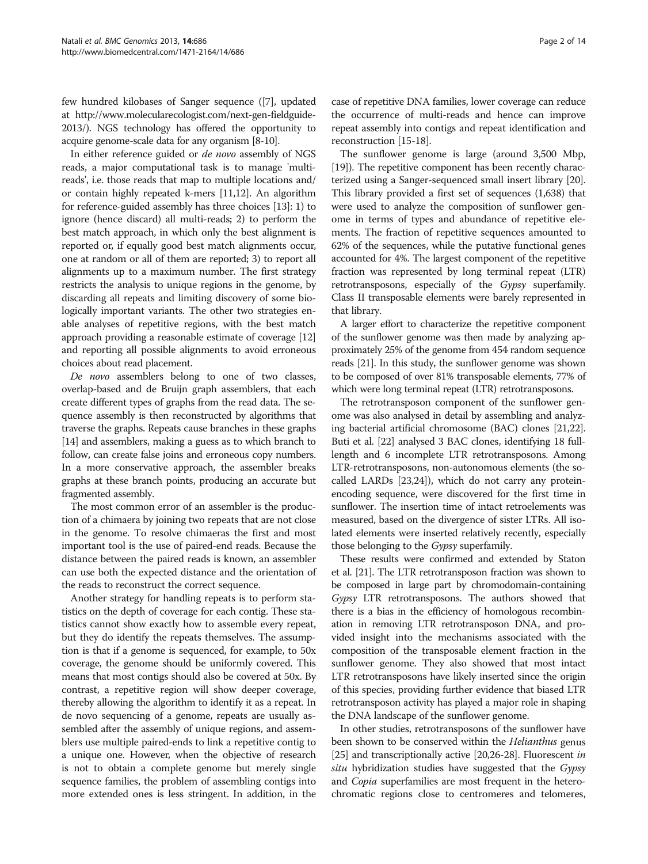few hundred kilobases of Sanger sequence ([\[7\]](#page-12-0), updated at [http://www.molecularecologist.com/next-gen-fieldguide-](http://www.molecularecologist.com/next-gen-fieldguide-2013/)[2013/\)](http://www.molecularecologist.com/next-gen-fieldguide-2013/). NGS technology has offered the opportunity to acquire genome-scale data for any organism [[8](#page-12-0)-[10](#page-12-0)].

In either reference guided or de novo assembly of NGS reads, a major computational task is to manage 'multireads', i.e. those reads that map to multiple locations and/ or contain highly repeated k-mers [[11](#page-12-0),[12](#page-12-0)]. An algorithm for reference-guided assembly has three choices [\[13\]](#page-12-0): 1) to ignore (hence discard) all multi-reads; 2) to perform the best match approach, in which only the best alignment is reported or, if equally good best match alignments occur, one at random or all of them are reported; 3) to report all alignments up to a maximum number. The first strategy restricts the analysis to unique regions in the genome, by discarding all repeats and limiting discovery of some biologically important variants. The other two strategies enable analyses of repetitive regions, with the best match approach providing a reasonable estimate of coverage [[12](#page-12-0)] and reporting all possible alignments to avoid erroneous choices about read placement.

De novo assemblers belong to one of two classes, overlap-based and de Bruijn graph assemblers, that each create different types of graphs from the read data. The sequence assembly is then reconstructed by algorithms that traverse the graphs. Repeats cause branches in these graphs [[14](#page-12-0)] and assemblers, making a guess as to which branch to follow, can create false joins and erroneous copy numbers. In a more conservative approach, the assembler breaks graphs at these branch points, producing an accurate but fragmented assembly.

The most common error of an assembler is the production of a chimaera by joining two repeats that are not close in the genome. To resolve chimaeras the first and most important tool is the use of paired-end reads. Because the distance between the paired reads is known, an assembler can use both the expected distance and the orientation of the reads to reconstruct the correct sequence.

Another strategy for handling repeats is to perform statistics on the depth of coverage for each contig. These statistics cannot show exactly how to assemble every repeat, but they do identify the repeats themselves. The assumption is that if a genome is sequenced, for example, to 50x coverage, the genome should be uniformly covered. This means that most contigs should also be covered at 50x. By contrast, a repetitive region will show deeper coverage, thereby allowing the algorithm to identify it as a repeat. In de novo sequencing of a genome, repeats are usually assembled after the assembly of unique regions, and assemblers use multiple paired-ends to link a repetitive contig to a unique one. However, when the objective of research is not to obtain a complete genome but merely single sequence families, the problem of assembling contigs into more extended ones is less stringent. In addition, in the case of repetitive DNA families, lower coverage can reduce the occurrence of multi-reads and hence can improve repeat assembly into contigs and repeat identification and reconstruction [[15](#page-12-0)[-18](#page-13-0)].

The sunflower genome is large (around 3,500 Mbp, [[19](#page-13-0)]). The repetitive component has been recently characterized using a Sanger-sequenced small insert library [[20](#page-13-0)]. This library provided a first set of sequences (1,638) that were used to analyze the composition of sunflower genome in terms of types and abundance of repetitive elements. The fraction of repetitive sequences amounted to 62% of the sequences, while the putative functional genes accounted for 4%. The largest component of the repetitive fraction was represented by long terminal repeat (LTR) retrotransposons, especially of the Gypsy superfamily. Class II transposable elements were barely represented in that library.

A larger effort to characterize the repetitive component of the sunflower genome was then made by analyzing approximately 25% of the genome from 454 random sequence reads [\[21\]](#page-13-0). In this study, the sunflower genome was shown to be composed of over 81% transposable elements, 77% of which were long terminal repeat (LTR) retrotransposons.

The retrotransposon component of the sunflower genome was also analysed in detail by assembling and analyzing bacterial artificial chromosome (BAC) clones [\[21,22](#page-13-0)]. Buti et al. [\[22\]](#page-13-0) analysed 3 BAC clones, identifying 18 fulllength and 6 incomplete LTR retrotransposons. Among LTR-retrotransposons, non-autonomous elements (the socalled LARDs [[23,24](#page-13-0)]), which do not carry any proteinencoding sequence, were discovered for the first time in sunflower. The insertion time of intact retroelements was measured, based on the divergence of sister LTRs. All isolated elements were inserted relatively recently, especially those belonging to the Gypsy superfamily.

These results were confirmed and extended by Staton et al. [[21](#page-13-0)]. The LTR retrotransposon fraction was shown to be composed in large part by chromodomain-containing Gypsy LTR retrotransposons. The authors showed that there is a bias in the efficiency of homologous recombination in removing LTR retrotransposon DNA, and provided insight into the mechanisms associated with the composition of the transposable element fraction in the sunflower genome. They also showed that most intact LTR retrotransposons have likely inserted since the origin of this species, providing further evidence that biased LTR retrotransposon activity has played a major role in shaping the DNA landscape of the sunflower genome.

In other studies, retrotransposons of the sunflower have been shown to be conserved within the *Helianthus* genus [[25](#page-13-0)] and transcriptionally active [[20,26-28\]](#page-13-0). Fluorescent in situ hybridization studies have suggested that the Gypsy and *Copia* superfamilies are most frequent in the heterochromatic regions close to centromeres and telomeres,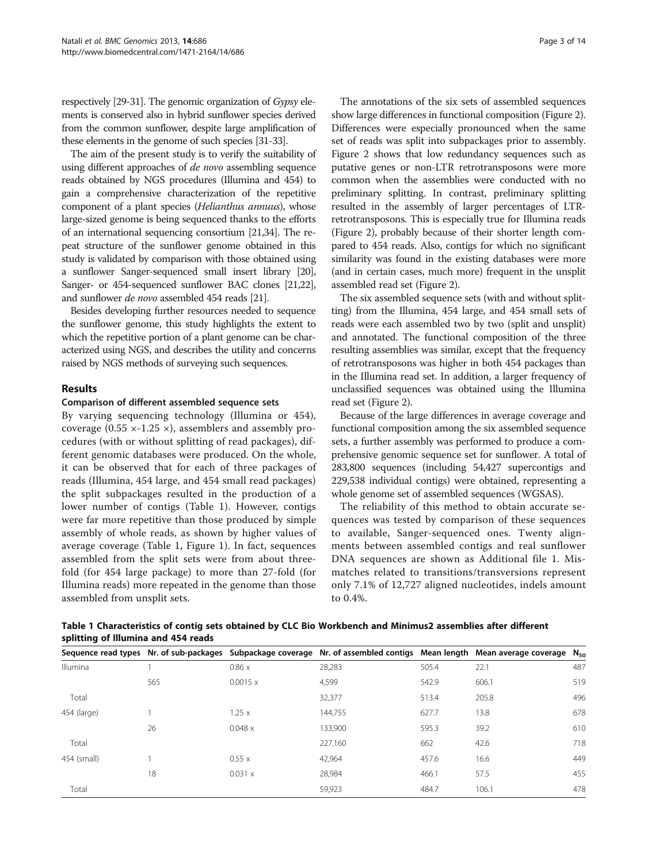<span id="page-2-0"></span>respectively [\[29](#page-13-0)-[31\]](#page-13-0). The genomic organization of Gypsy elements is conserved also in hybrid sunflower species derived from the common sunflower, despite large amplification of these elements in the genome of such species [\[31](#page-13-0)-[33\]](#page-13-0).

The aim of the present study is to verify the suitability of using different approaches of *de novo* assembling sequence reads obtained by NGS procedures (Illumina and 454) to gain a comprehensive characterization of the repetitive component of a plant species (Helianthus annuus), whose large-sized genome is being sequenced thanks to the efforts of an international sequencing consortium [\[21,34](#page-13-0)]. The repeat structure of the sunflower genome obtained in this study is validated by comparison with those obtained using a sunflower Sanger-sequenced small insert library [\[20](#page-13-0)], Sanger- or 454-sequenced sunflower BAC clones [[21,22](#page-13-0)], and sunflower de novo assembled 454 reads [\[21](#page-13-0)].

Besides developing further resources needed to sequence the sunflower genome, this study highlights the extent to which the repetitive portion of a plant genome can be characterized using NGS, and describes the utility and concerns raised by NGS methods of surveying such sequences.

## Results

#### Comparison of different assembled sequence sets

By varying sequencing technology (Illumina or 454), coverage (0.55  $\times$ -1.25  $\times$ ), assemblers and assembly procedures (with or without splitting of read packages), different genomic databases were produced. On the whole, it can be observed that for each of three packages of reads (Illumina, 454 large, and 454 small read packages) the split subpackages resulted in the production of a lower number of contigs (Table 1). However, contigs were far more repetitive than those produced by simple assembly of whole reads, as shown by higher values of average coverage (Table 1, Figure [1](#page-3-0)). In fact, sequences assembled from the split sets were from about threefold (for 454 large package) to more than 27-fold (for Illumina reads) more repeated in the genome than those assembled from unsplit sets.

The annotations of the six sets of assembled sequences show large differences in functional composition (Figure [2](#page-4-0)). Differences were especially pronounced when the same set of reads was split into subpackages prior to assembly. Figure [2](#page-4-0) shows that low redundancy sequences such as putative genes or non-LTR retrotransposons were more common when the assemblies were conducted with no preliminary splitting. In contrast, preliminary splitting resulted in the assembly of larger percentages of LTRretrotransposons. This is especially true for Illumina reads (Figure [2](#page-4-0)), probably because of their shorter length compared to 454 reads. Also, contigs for which no significant similarity was found in the existing databases were more (and in certain cases, much more) frequent in the unsplit assembled read set (Figure [2\)](#page-4-0).

The six assembled sequence sets (with and without splitting) from the Illumina, 454 large, and 454 small sets of reads were each assembled two by two (split and unsplit) and annotated. The functional composition of the three resulting assemblies was similar, except that the frequency of retrotransposons was higher in both 454 packages than in the Illumina read set. In addition, a larger frequency of unclassified sequences was obtained using the Illumina read set (Figure [2](#page-4-0)).

Because of the large differences in average coverage and functional composition among the six assembled sequence sets, a further assembly was performed to produce a comprehensive genomic sequence set for sunflower. A total of 283,800 sequences (including 54,427 supercontigs and 229,538 individual contigs) were obtained, representing a whole genome set of assembled sequences (WGSAS).

The reliability of this method to obtain accurate sequences was tested by comparison of these sequences to available, Sanger-sequenced ones. Twenty alignments between assembled contigs and real sunflower DNA sequences are shown as Additional file [1](#page-12-0). Mismatches related to transitions/transversions represent only 7.1% of 12,727 aligned nucleotides, indels amount to 0.4%.

| Table 1 Characteristics of contig sets obtained by CLC Bio Workbench and Minimus2 assemblies after different |  |  |  |  |  |
|--------------------------------------------------------------------------------------------------------------|--|--|--|--|--|
| splitting of Illumina and 454 reads                                                                          |  |  |  |  |  |

|             |     |                 | Sequence read types Nr. of sub-packages Subpackage coverage Nr. of assembled contigs Mean length Mean average coverage N <sub>50</sub> |       |       |     |
|-------------|-----|-----------------|----------------------------------------------------------------------------------------------------------------------------------------|-------|-------|-----|
| Illumina    |     | 0.86x           | 28,283                                                                                                                                 | 505.4 | 22.1  | 487 |
|             | 565 | $0.0015 \times$ | 4,599                                                                                                                                  | 542.9 | 606.1 | 519 |
| Total       |     |                 | 32,377                                                                                                                                 | 513.4 | 205.8 | 496 |
| 454 (large) |     | 1.25x           | 144.755                                                                                                                                | 627.7 | 13.8  | 678 |
|             | 26  | $0.048 \times$  | 133,900                                                                                                                                | 595.3 | 39.2  | 610 |
| Total       |     |                 | 227,160                                                                                                                                | 662   | 42.6  | 718 |
| 454 (small) |     | 0.55x           | 42,964                                                                                                                                 | 457.6 | 16.6  | 449 |
|             | 18  | 0.031 x         | 28,984                                                                                                                                 | 466.1 | 57.5  | 455 |
| Total       |     |                 | 59,923                                                                                                                                 | 484.7 | 106.1 | 478 |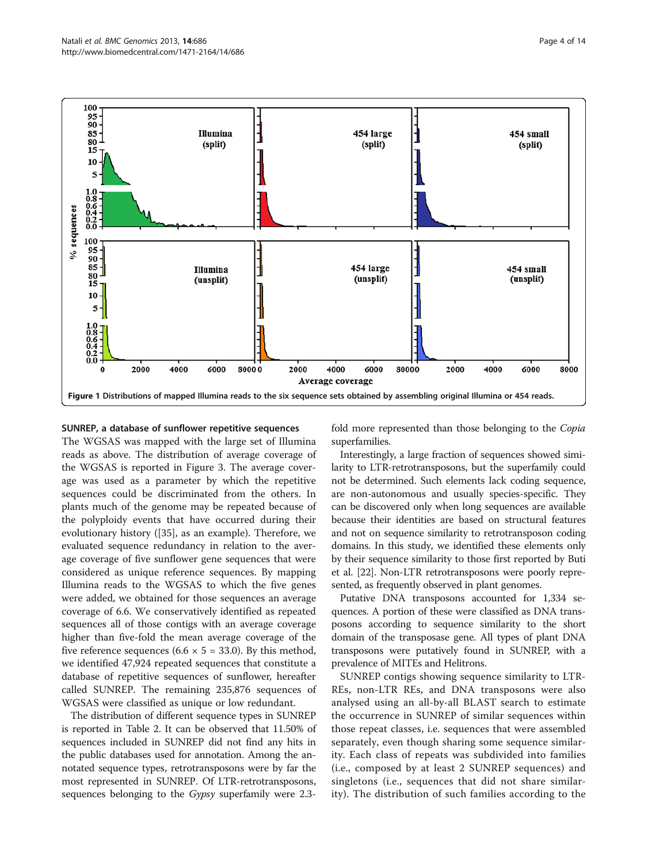<span id="page-3-0"></span>

#### SUNREP, a database of sunflower repetitive sequences

The WGSAS was mapped with the large set of Illumina reads as above. The distribution of average coverage of the WGSAS is reported in Figure [3](#page-5-0). The average coverage was used as a parameter by which the repetitive sequences could be discriminated from the others. In plants much of the genome may be repeated because of the polyploidy events that have occurred during their evolutionary history ([\[35](#page-13-0)], as an example). Therefore, we evaluated sequence redundancy in relation to the average coverage of five sunflower gene sequences that were considered as unique reference sequences. By mapping Illumina reads to the WGSAS to which the five genes were added, we obtained for those sequences an average coverage of 6.6. We conservatively identified as repeated sequences all of those contigs with an average coverage higher than five-fold the mean average coverage of the five reference sequences (6.6  $\times$  5 = 33.0). By this method, we identified 47,924 repeated sequences that constitute a database of repetitive sequences of sunflower, hereafter called SUNREP. The remaining 235,876 sequences of WGSAS were classified as unique or low redundant.

The distribution of different sequence types in SUNREP is reported in Table [2.](#page-5-0) It can be observed that 11.50% of sequences included in SUNREP did not find any hits in the public databases used for annotation. Among the annotated sequence types, retrotransposons were by far the most represented in SUNREP. Of LTR-retrotransposons, sequences belonging to the Gypsy superfamily were 2.3fold more represented than those belonging to the Copia superfamilies.

Interestingly, a large fraction of sequences showed similarity to LTR-retrotransposons, but the superfamily could not be determined. Such elements lack coding sequence, are non-autonomous and usually species-specific. They can be discovered only when long sequences are available because their identities are based on structural features and not on sequence similarity to retrotransposon coding domains. In this study, we identified these elements only by their sequence similarity to those first reported by Buti et al. [\[22\]](#page-13-0). Non-LTR retrotransposons were poorly represented, as frequently observed in plant genomes.

Putative DNA transposons accounted for 1,334 sequences. A portion of these were classified as DNA transposons according to sequence similarity to the short domain of the transposase gene. All types of plant DNA transposons were putatively found in SUNREP, with a prevalence of MITEs and Helitrons.

SUNREP contigs showing sequence similarity to LTR-REs, non-LTR REs, and DNA transposons were also analysed using an all-by-all BLAST search to estimate the occurrence in SUNREP of similar sequences within those repeat classes, i.e. sequences that were assembled separately, even though sharing some sequence similarity. Each class of repeats was subdivided into families (i.e., composed by at least 2 SUNREP sequences) and singletons (i.e., sequences that did not share similarity). The distribution of such families according to the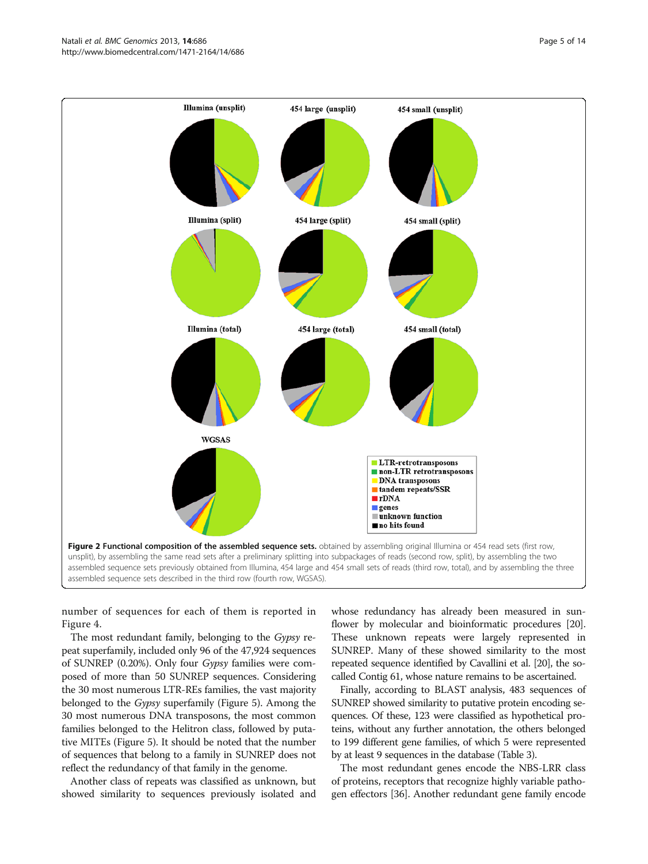<span id="page-4-0"></span>

number of sequences for each of them is reported in Figure [4](#page-6-0).

The most redundant family, belonging to the Gypsy repeat superfamily, included only 96 of the 47,924 sequences of SUNREP (0.20%). Only four Gypsy families were composed of more than 50 SUNREP sequences. Considering the 30 most numerous LTR-REs families, the vast majority belonged to the Gypsy superfamily (Figure [5](#page-7-0)). Among the 30 most numerous DNA transposons, the most common families belonged to the Helitron class, followed by putative MITEs (Figure [5](#page-7-0)). It should be noted that the number of sequences that belong to a family in SUNREP does not reflect the redundancy of that family in the genome.

Another class of repeats was classified as unknown, but showed similarity to sequences previously isolated and

whose redundancy has already been measured in sunflower by molecular and bioinformatic procedures [[20](#page-13-0)]. These unknown repeats were largely represented in SUNREP. Many of these showed similarity to the most repeated sequence identified by Cavallini et al. [[20](#page-13-0)], the socalled Contig 61, whose nature remains to be ascertained.

Finally, according to BLAST analysis, 483 sequences of SUNREP showed similarity to putative protein encoding sequences. Of these, 123 were classified as hypothetical proteins, without any further annotation, the others belonged to 199 different gene families, of which 5 were represented by at least 9 sequences in the database (Table [3\)](#page-7-0).

The most redundant genes encode the NBS-LRR class of proteins, receptors that recognize highly variable pathogen effectors [\[36\]](#page-13-0). Another redundant gene family encode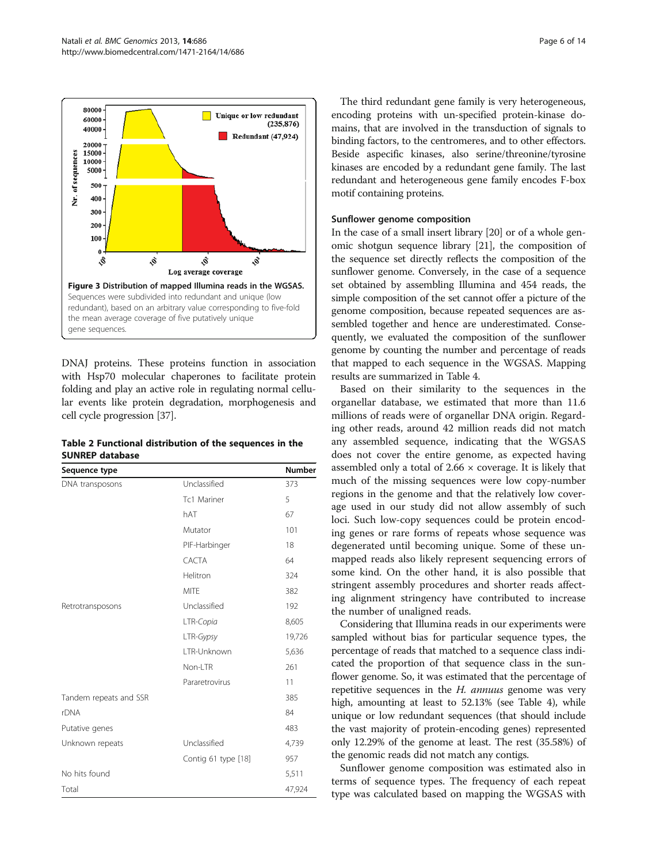<span id="page-5-0"></span>

DNAJ proteins. These proteins function in association with Hsp70 molecular chaperones to facilitate protein folding and play an active role in regulating normal cellular events like protein degradation, morphogenesis and cell cycle progression [\[37\]](#page-13-0).

| Table 2 Functional distribution of the sequences in the |  |  |
|---------------------------------------------------------|--|--|
| <b>SUNREP database</b>                                  |  |  |

| Sequence type          |                     | <b>Number</b> |
|------------------------|---------------------|---------------|
| DNA transposons        | Unclassified        | 373           |
|                        | Tc1 Mariner         | 5             |
|                        | hAT                 | 67            |
|                        | Mutator             | 101           |
|                        | PIF-Harbinger       | 18            |
|                        | CACTA               | 64            |
|                        | Helitron            | 324           |
|                        | <b>MITE</b>         | 382           |
| Retrotransposons       | Unclassified        | 192           |
|                        | LTR-Copia           | 8,605         |
|                        | LTR-Gypsy           | 19,726        |
|                        | I TR-Unknown        | 5,636         |
|                        | Non-LTR             | 261           |
|                        | Pararetrovirus      | 11            |
| Tandem repeats and SSR |                     | 385           |
| rDNA                   |                     | 84            |
| Putative genes         |                     | 483           |
| Unknown repeats        | Unclassified        | 4,739         |
|                        | Contig 61 type [18] | 957           |
| No hits found          |                     | 5,511         |
| Total                  |                     | 47,924        |

The third redundant gene family is very heterogeneous, encoding proteins with un-specified protein-kinase domains, that are involved in the transduction of signals to binding factors, to the centromeres, and to other effectors. Beside aspecific kinases, also serine/threonine/tyrosine kinases are encoded by a redundant gene family. The last redundant and heterogeneous gene family encodes F-box motif containing proteins.

#### Sunflower genome composition

In the case of a small insert library [[20](#page-13-0)] or of a whole genomic shotgun sequence library [\[21\]](#page-13-0), the composition of the sequence set directly reflects the composition of the sunflower genome. Conversely, in the case of a sequence set obtained by assembling Illumina and 454 reads, the simple composition of the set cannot offer a picture of the genome composition, because repeated sequences are assembled together and hence are underestimated. Consequently, we evaluated the composition of the sunflower genome by counting the number and percentage of reads that mapped to each sequence in the WGSAS. Mapping results are summarized in Table [4](#page-8-0).

Based on their similarity to the sequences in the organellar database, we estimated that more than 11.6 millions of reads were of organellar DNA origin. Regarding other reads, around 42 million reads did not match any assembled sequence, indicating that the WGSAS does not cover the entire genome, as expected having assembled only a total of  $2.66 \times$  coverage. It is likely that much of the missing sequences were low copy-number regions in the genome and that the relatively low coverage used in our study did not allow assembly of such loci. Such low-copy sequences could be protein encoding genes or rare forms of repeats whose sequence was degenerated until becoming unique. Some of these unmapped reads also likely represent sequencing errors of some kind. On the other hand, it is also possible that stringent assembly procedures and shorter reads affecting alignment stringency have contributed to increase the number of unaligned reads.

Considering that Illumina reads in our experiments were sampled without bias for particular sequence types, the percentage of reads that matched to a sequence class indicated the proportion of that sequence class in the sunflower genome. So, it was estimated that the percentage of repetitive sequences in the  $H$ . annuus genome was very high, amounting at least to 52.13% (see Table [4\)](#page-8-0), while unique or low redundant sequences (that should include the vast majority of protein-encoding genes) represented only 12.29% of the genome at least. The rest (35.58%) of the genomic reads did not match any contigs.

Sunflower genome composition was estimated also in terms of sequence types. The frequency of each repeat type was calculated based on mapping the WGSAS with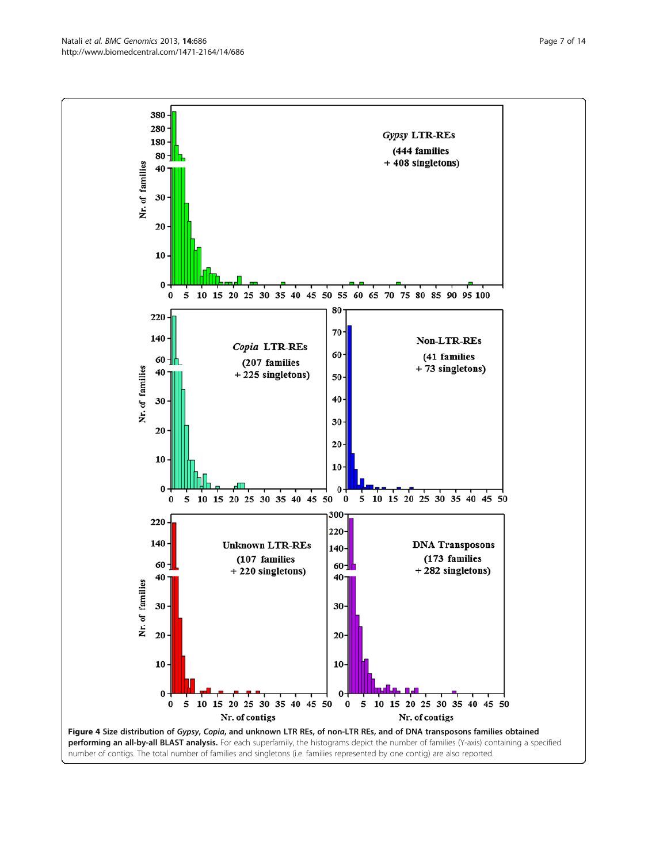<span id="page-6-0"></span>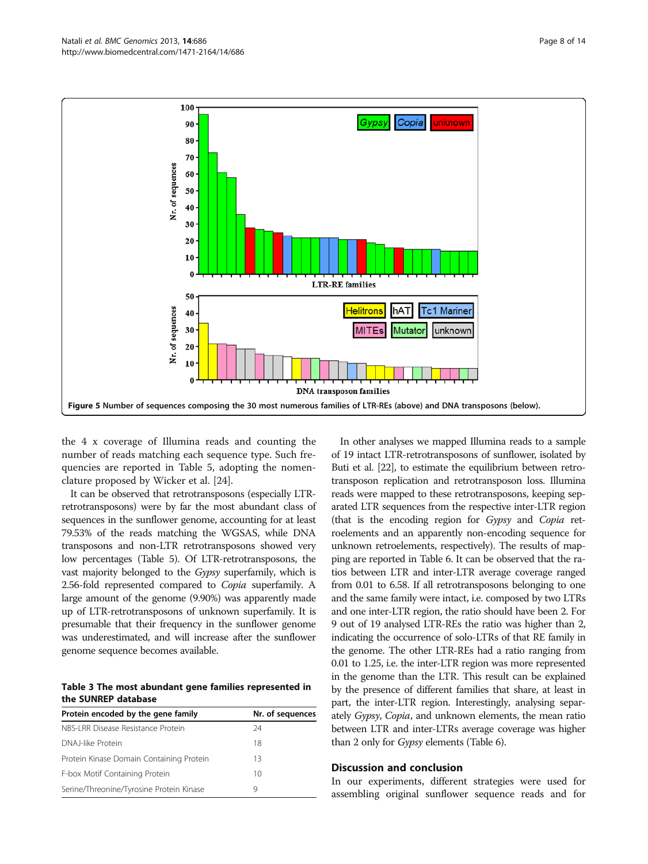<span id="page-7-0"></span>

the 4 x coverage of Illumina reads and counting the number of reads matching each sequence type. Such frequencies are reported in Table [5](#page-8-0), adopting the nomenclature proposed by Wicker et al. [\[24](#page-13-0)].

It can be observed that retrotransposons (especially LTRretrotransposons) were by far the most abundant class of sequences in the sunflower genome, accounting for at least 79.53% of the reads matching the WGSAS, while DNA transposons and non-LTR retrotransposons showed very low percentages (Table [5](#page-8-0)). Of LTR-retrotransposons, the vast majority belonged to the Gypsy superfamily, which is 2.56-fold represented compared to Copia superfamily. A large amount of the genome (9.90%) was apparently made up of LTR-retrotransposons of unknown superfamily. It is presumable that their frequency in the sunflower genome was underestimated, and will increase after the sunflower genome sequence becomes available.

Table 3 The most abundant gene families represented in the SUNREP database

| Protein encoded by the gene family       | Nr. of sequences |
|------------------------------------------|------------------|
| NBS-LRR Disease Resistance Protein       | 24               |
| DNAJ-like Protein                        | 18               |
| Protein Kinase Domain Containing Protein | 13               |
| F-box Motif Containing Protein           | 10               |
| Serine/Threonine/Tyrosine Protein Kinase | Q                |

In other analyses we mapped Illumina reads to a sample of 19 intact LTR-retrotransposons of sunflower, isolated by Buti et al. [\[22](#page-13-0)], to estimate the equilibrium between retrotransposon replication and retrotransposon loss. Illumina reads were mapped to these retrotransposons, keeping separated LTR sequences from the respective inter-LTR region (that is the encoding region for Gypsy and Copia retroelements and an apparently non-encoding sequence for unknown retroelements, respectively). The results of mapping are reported in Table [6](#page-9-0). It can be observed that the ratios between LTR and inter-LTR average coverage ranged from 0.01 to 6.58. If all retrotransposons belonging to one and the same family were intact, i.e. composed by two LTRs and one inter-LTR region, the ratio should have been 2. For 9 out of 19 analysed LTR-REs the ratio was higher than 2, indicating the occurrence of solo-LTRs of that RE family in the genome. The other LTR-REs had a ratio ranging from 0.01 to 1.25, i.e. the inter-LTR region was more represented in the genome than the LTR. This result can be explained by the presence of different families that share, at least in part, the inter-LTR region. Interestingly, analysing separately Gypsy, Copia, and unknown elements, the mean ratio between LTR and inter-LTRs average coverage was higher than 2 only for Gypsy elements (Table [6](#page-9-0)).

#### Discussion and conclusion

In our experiments, different strategies were used for assembling original sunflower sequence reads and for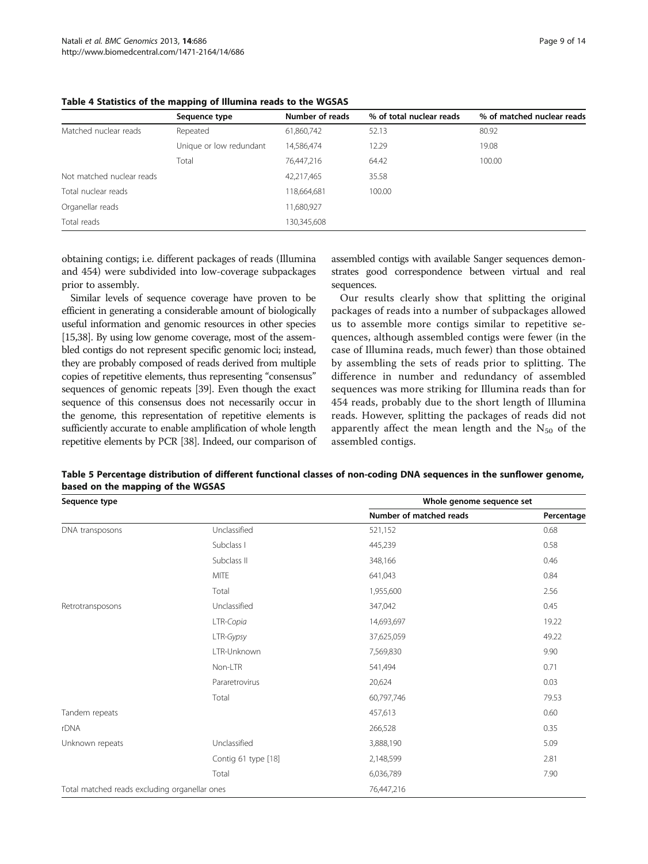|                           | Sequence type           | Number of reads | % of total nuclear reads | % of matched nuclear reads |
|---------------------------|-------------------------|-----------------|--------------------------|----------------------------|
| Matched nuclear reads     | Repeated                | 61,860,742      | 52.13                    | 80.92                      |
|                           | Unique or low redundant | 14,586,474      | 12.29                    | 19.08                      |
|                           | Total                   | 76,447,216      | 64.42                    | 100.00                     |
| Not matched nuclear reads |                         | 42,217,465      | 35.58                    |                            |
| Total nuclear reads       |                         | 118,664,681     | 100.00                   |                            |
| Organellar reads          |                         | 11,680,927      |                          |                            |
| Total reads               |                         | 130,345,608     |                          |                            |

<span id="page-8-0"></span>Table 4 Statistics of the mapping of Illumina reads to the WGSAS

obtaining contigs; i.e. different packages of reads (Illumina and 454) were subdivided into low-coverage subpackages prior to assembly.

Similar levels of sequence coverage have proven to be efficient in generating a considerable amount of biologically useful information and genomic resources in other species [[15](#page-12-0)[,38\]](#page-13-0). By using low genome coverage, most of the assembled contigs do not represent specific genomic loci; instead, they are probably composed of reads derived from multiple copies of repetitive elements, thus representing "consensus" sequences of genomic repeats [\[39\]](#page-13-0). Even though the exact sequence of this consensus does not necessarily occur in the genome, this representation of repetitive elements is sufficiently accurate to enable amplification of whole length repetitive elements by PCR [\[38](#page-13-0)]. Indeed, our comparison of

assembled contigs with available Sanger sequences demonstrates good correspondence between virtual and real sequences.

Our results clearly show that splitting the original packages of reads into a number of subpackages allowed us to assemble more contigs similar to repetitive sequences, although assembled contigs were fewer (in the case of Illumina reads, much fewer) than those obtained by assembling the sets of reads prior to splitting. The difference in number and redundancy of assembled sequences was more striking for Illumina reads than for 454 reads, probably due to the short length of Illumina reads. However, splitting the packages of reads did not apparently affect the mean length and the  $N_{50}$  of the assembled contigs.

| Table 5 Percentage distribution of different functional classes of non-coding DNA sequences in the sunflower genome, |  |
|----------------------------------------------------------------------------------------------------------------------|--|
| based on the mapping of the WGSAS                                                                                    |  |

| Sequence type                                 |                     | Whole genome sequence set |            |
|-----------------------------------------------|---------------------|---------------------------|------------|
|                                               |                     | Number of matched reads   | Percentage |
| DNA transposons                               | Unclassified        | 521,152                   | 0.68       |
|                                               | Subclass I          | 445,239                   | 0.58       |
|                                               | Subclass II         | 348,166                   | 0.46       |
|                                               | <b>MITE</b>         | 641,043                   | 0.84       |
|                                               | Total               | 1,955,600                 | 2.56       |
| Retrotransposons                              | Unclassified        | 347,042                   | 0.45       |
|                                               | LTR-Copia           | 14,693,697                | 19.22      |
|                                               | LTR-Gypsy           | 37,625,059                | 49.22      |
|                                               | LTR-Unknown         | 7,569,830                 | 9.90       |
|                                               | Non-LTR             | 541,494                   | 0.71       |
|                                               | Pararetrovirus      | 20,624                    | 0.03       |
|                                               | Total               | 60,797,746                | 79.53      |
| Tandem repeats                                |                     | 457,613                   | 0.60       |
| rDNA                                          |                     | 266,528                   | 0.35       |
| Unknown repeats                               | Unclassified        | 3,888,190                 | 5.09       |
|                                               | Contig 61 type [18] | 2,148,599                 | 2.81       |
|                                               | Total               | 6,036,789                 | 7.90       |
| Total matched reads excluding organellar ones |                     | 76,447,216                |            |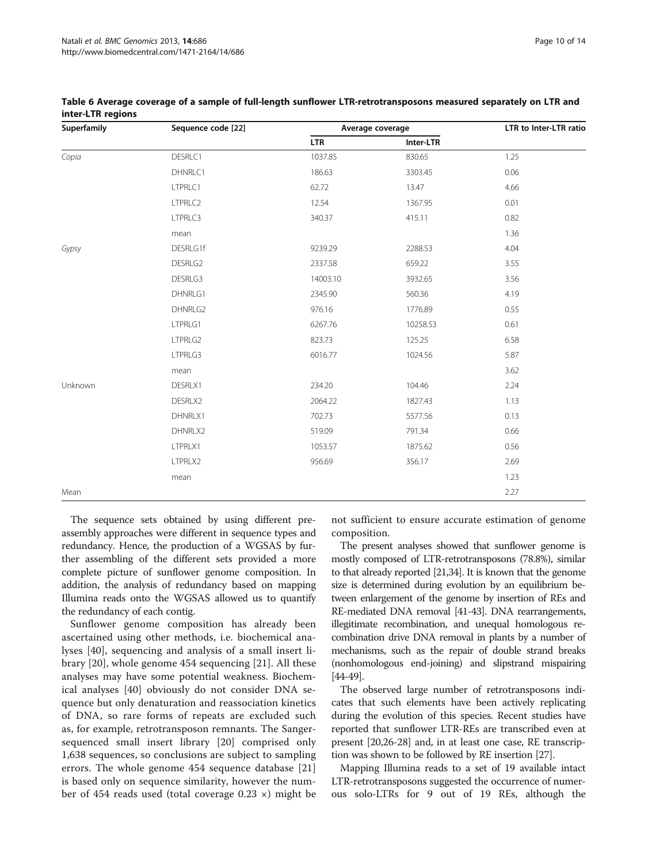| Superfamily | Sequence code [22] | Average coverage | LTR to Inter-LTR ratio |      |  |
|-------------|--------------------|------------------|------------------------|------|--|
|             |                    | <b>LTR</b>       | Inter-LTR              |      |  |
| Copia       | DESRLC1            | 1037.85          | 830.65                 | 1.25 |  |
|             | DHNRLC1            | 186.63           | 3303.45                | 0.06 |  |
|             | LTPRLC1            | 62.72            | 13.47                  | 4.66 |  |
|             | LTPRLC2            | 12.54            | 1367.95                | 0.01 |  |
|             | LTPRLC3            | 340.37           | 415.11                 | 0.82 |  |
|             | mean               |                  |                        | 1.36 |  |
| Gypsy       | DESRLG1f           | 9239.29          | 2288.53                | 4.04 |  |
|             | DESRLG2            | 2337.58          | 659.22                 | 3.55 |  |
|             | DESRLG3            | 14003.10         | 3932.65                | 3.56 |  |
|             | DHNRLG1            | 2345.90          | 560.36                 | 4.19 |  |
|             | DHNRLG2            | 976.16           | 1776.89                | 0.55 |  |
|             | LTPRLG1            | 6267.76          | 10258.53               | 0.61 |  |
|             | LTPRLG2            | 823.73           | 125.25                 | 6.58 |  |
|             | LTPRLG3            | 6016.77          | 1024.56                | 5.87 |  |
|             | mean               |                  |                        | 3.62 |  |
| Unknown     | DESRLX1            | 234.20           | 104.46                 | 2.24 |  |
|             | DESRLX2            | 2064.22          | 1827.43                | 1.13 |  |
|             | DHNRLX1            | 702.73           | 5577.56                | 0.13 |  |
|             | DHNRLX2            | 519.09           | 791.34                 | 0.66 |  |
|             | LTPRLX1            | 1053.57          | 1875.62                | 0.56 |  |
|             | LTPRLX2            | 956.69           | 356.17                 | 2.69 |  |
|             | mean               |                  |                        | 1.23 |  |
| Mean        |                    |                  |                        | 2.27 |  |

#### <span id="page-9-0"></span>Table 6 Average coverage of a sample of full-length sunflower LTR-retrotransposons measured separately on LTR and inter-LTR regions

The sequence sets obtained by using different preassembly approaches were different in sequence types and redundancy. Hence, the production of a WGSAS by further assembling of the different sets provided a more complete picture of sunflower genome composition. In addition, the analysis of redundancy based on mapping Illumina reads onto the WGSAS allowed us to quantify the redundancy of each contig.

Sunflower genome composition has already been ascertained using other methods, i.e. biochemical analyses [\[40](#page-13-0)], sequencing and analysis of a small insert library [\[20](#page-13-0)], whole genome 454 sequencing [[21\]](#page-13-0). All these analyses may have some potential weakness. Biochemical analyses [\[40](#page-13-0)] obviously do not consider DNA sequence but only denaturation and reassociation kinetics of DNA, so rare forms of repeats are excluded such as, for example, retrotransposon remnants. The Sangersequenced small insert library [[20\]](#page-13-0) comprised only 1,638 sequences, so conclusions are subject to sampling errors. The whole genome 454 sequence database [\[21](#page-13-0)] is based only on sequence similarity, however the number of 454 reads used (total coverage 0.23 ×) might be

not sufficient to ensure accurate estimation of genome composition.

The present analyses showed that sunflower genome is mostly composed of LTR-retrotransposons (78.8%), similar to that already reported [\[21,34\]](#page-13-0). It is known that the genome size is determined during evolution by an equilibrium between enlargement of the genome by insertion of REs and RE-mediated DNA removal [[41-43\]](#page-13-0). DNA rearrangements, illegitimate recombination, and unequal homologous recombination drive DNA removal in plants by a number of mechanisms, such as the repair of double strand breaks (nonhomologous end-joining) and slipstrand mispairing [[44-49\]](#page-13-0).

The observed large number of retrotransposons indicates that such elements have been actively replicating during the evolution of this species. Recent studies have reported that sunflower LTR-REs are transcribed even at present [[20,26-28\]](#page-13-0) and, in at least one case, RE transcription was shown to be followed by RE insertion [\[27](#page-13-0)].

Mapping Illumina reads to a set of 19 available intact LTR-retrotransposons suggested the occurrence of numerous solo-LTRs for 9 out of 19 REs, although the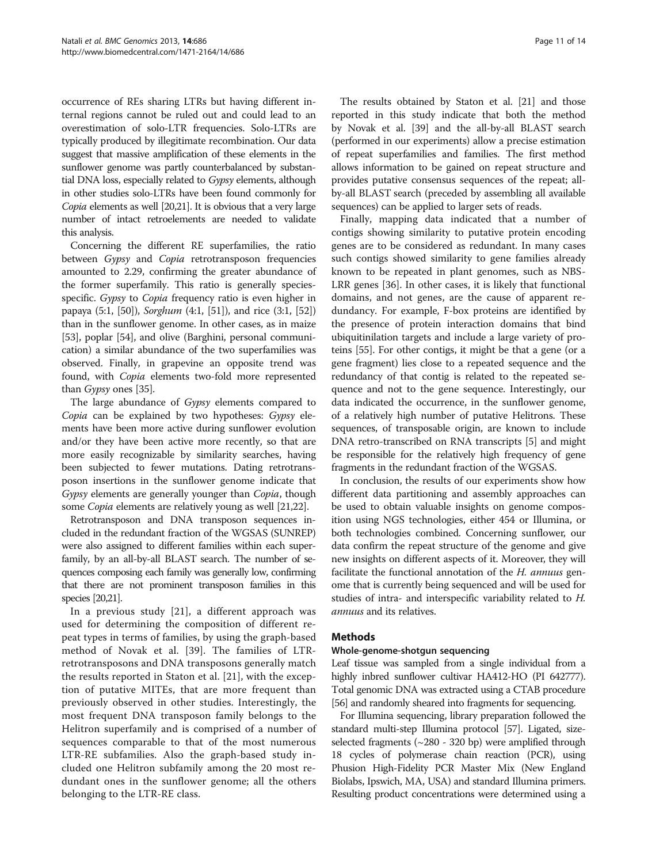occurrence of REs sharing LTRs but having different internal regions cannot be ruled out and could lead to an overestimation of solo-LTR frequencies. Solo-LTRs are typically produced by illegitimate recombination. Our data suggest that massive amplification of these elements in the sunflower genome was partly counterbalanced by substantial DNA loss, especially related to Gypsy elements, although in other studies solo-LTRs have been found commonly for Copia elements as well [\[20,21\]](#page-13-0). It is obvious that a very large number of intact retroelements are needed to validate this analysis.

Concerning the different RE superfamilies, the ratio between *Gypsy* and *Copia* retrotransposon frequencies amounted to 2.29, confirming the greater abundance of the former superfamily. This ratio is generally speciesspecific. Gypsy to Copia frequency ratio is even higher in papaya (5:1, [[50](#page-13-0)]), Sorghum (4:1, [[51\]](#page-13-0)), and rice (3:1, [[52](#page-13-0)]) than in the sunflower genome. In other cases, as in maize [[53](#page-13-0)], poplar [\[54\]](#page-13-0), and olive (Barghini, personal communication) a similar abundance of the two superfamilies was observed. Finally, in grapevine an opposite trend was found, with Copia elements two-fold more represented than Gypsy ones [[35](#page-13-0)].

The large abundance of *Gypsy* elements compared to Copia can be explained by two hypotheses: Gypsy elements have been more active during sunflower evolution and/or they have been active more recently, so that are more easily recognizable by similarity searches, having been subjected to fewer mutations. Dating retrotransposon insertions in the sunflower genome indicate that Gypsy elements are generally younger than Copia, though some Copia elements are relatively young as well [[21,22\]](#page-13-0).

Retrotransposon and DNA transposon sequences included in the redundant fraction of the WGSAS (SUNREP) were also assigned to different families within each superfamily, by an all-by-all BLAST search. The number of sequences composing each family was generally low, confirming that there are not prominent transposon families in this species [\[20,21\]](#page-13-0).

In a previous study [\[21](#page-13-0)], a different approach was used for determining the composition of different repeat types in terms of families, by using the graph-based method of Novak et al. [[39\]](#page-13-0). The families of LTRretrotransposons and DNA transposons generally match the results reported in Staton et al. [[21](#page-13-0)], with the exception of putative MITEs, that are more frequent than previously observed in other studies. Interestingly, the most frequent DNA transposon family belongs to the Helitron superfamily and is comprised of a number of sequences comparable to that of the most numerous LTR-RE subfamilies. Also the graph-based study included one Helitron subfamily among the 20 most redundant ones in the sunflower genome; all the others belonging to the LTR-RE class.

The results obtained by Staton et al. [[21](#page-13-0)] and those reported in this study indicate that both the method by Novak et al. [[39](#page-13-0)] and the all-by-all BLAST search (performed in our experiments) allow a precise estimation of repeat superfamilies and families. The first method allows information to be gained on repeat structure and provides putative consensus sequences of the repeat; allby-all BLAST search (preceded by assembling all available sequences) can be applied to larger sets of reads.

Finally, mapping data indicated that a number of contigs showing similarity to putative protein encoding genes are to be considered as redundant. In many cases such contigs showed similarity to gene families already known to be repeated in plant genomes, such as NBS-LRR genes [\[36](#page-13-0)]. In other cases, it is likely that functional domains, and not genes, are the cause of apparent redundancy. For example, F-box proteins are identified by the presence of protein interaction domains that bind ubiquitinilation targets and include a large variety of proteins [[55](#page-13-0)]. For other contigs, it might be that a gene (or a gene fragment) lies close to a repeated sequence and the redundancy of that contig is related to the repeated sequence and not to the gene sequence. Interestingly, our data indicated the occurrence, in the sunflower genome, of a relatively high number of putative Helitrons. These sequences, of transposable origin, are known to include DNA retro-transcribed on RNA transcripts [\[5\]](#page-12-0) and might be responsible for the relatively high frequency of gene fragments in the redundant fraction of the WGSAS.

In conclusion, the results of our experiments show how different data partitioning and assembly approaches can be used to obtain valuable insights on genome composition using NGS technologies, either 454 or Illumina, or both technologies combined. Concerning sunflower, our data confirm the repeat structure of the genome and give new insights on different aspects of it. Moreover, they will facilitate the functional annotation of the H. annuus genome that is currently being sequenced and will be used for studies of intra- and interspecific variability related to H. annuus and its relatives.

## Methods

## Whole-genome-shotgun sequencing

Leaf tissue was sampled from a single individual from a highly inbred sunflower cultivar HA412-HO (PI 642777). Total genomic DNA was extracted using a CTAB procedure [[56\]](#page-13-0) and randomly sheared into fragments for sequencing.

For Illumina sequencing, library preparation followed the standard multi-step Illumina protocol [\[57\]](#page-13-0). Ligated, sizeselected fragments (~280 - 320 bp) were amplified through 18 cycles of polymerase chain reaction (PCR), using Phusion High-Fidelity PCR Master Mix (New England Biolabs, Ipswich, MA, USA) and standard Illumina primers. Resulting product concentrations were determined using a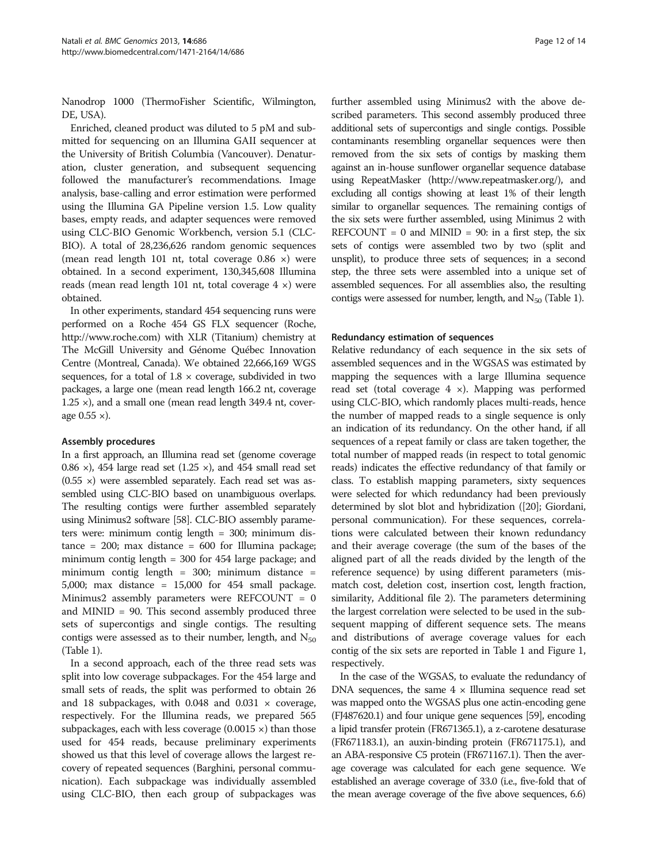Nanodrop 1000 (ThermoFisher Scientific, Wilmington, DE, USA).

Enriched, cleaned product was diluted to 5 pM and submitted for sequencing on an Illumina GAII sequencer at the University of British Columbia (Vancouver). Denaturation, cluster generation, and subsequent sequencing followed the manufacturer's recommendations. Image analysis, base-calling and error estimation were performed using the Illumina GA Pipeline version 1.5. Low quality bases, empty reads, and adapter sequences were removed using CLC-BIO Genomic Workbench, version 5.1 (CLC-BIO). A total of 28,236,626 random genomic sequences (mean read length 101 nt, total coverage  $0.86 \times$ ) were obtained. In a second experiment, 130,345,608 Illumina reads (mean read length 101 nt, total coverage  $4 \times$ ) were obtained.

In other experiments, standard 454 sequencing runs were performed on a Roche 454 GS FLX sequencer (Roche, [http://www.roche.com\)](http://www.roche.com) with XLR (Titanium) chemistry at The McGill University and Génome Québec Innovation Centre (Montreal, Canada). We obtained 22,666,169 WGS sequences, for a total of  $1.8 \times$  coverage, subdivided in two packages, a large one (mean read length 166.2 nt, coverage 1.25  $\times$ ), and a small one (mean read length 349.4 nt, coverage  $0.55 \times$ ).

## Assembly procedures

In a first approach, an Illumina read set (genome coverage 0.86  $\times$ ), 454 large read set (1.25  $\times$ ), and 454 small read set  $(0.55 \times)$  were assembled separately. Each read set was assembled using CLC-BIO based on unambiguous overlaps. The resulting contigs were further assembled separately using Minimus2 software [\[58](#page-13-0)]. CLC-BIO assembly parameters were: minimum contig length = 300; minimum dis $tance = 200$ ; max distance = 600 for Illumina package; minimum contig length = 300 for 454 large package; and minimum contig length = 300; minimum distance = 5,000; max distance = 15,000 for 454 small package. Minimus2 assembly parameters were REFCOUNT = 0 and MINID = 90. This second assembly produced three sets of supercontigs and single contigs. The resulting contigs were assessed as to their number, length, and  $N_{50}$ (Table [1\)](#page-2-0).

In a second approach, each of the three read sets was split into low coverage subpackages. For the 454 large and small sets of reads, the split was performed to obtain 26 and 18 subpackages, with 0.048 and 0.031  $\times$  coverage, respectively. For the Illumina reads, we prepared 565 subpackages, each with less coverage  $(0.0015 \times)$  than those used for 454 reads, because preliminary experiments showed us that this level of coverage allows the largest recovery of repeated sequences (Barghini, personal communication). Each subpackage was individually assembled using CLC-BIO, then each group of subpackages was

further assembled using Minimus2 with the above described parameters. This second assembly produced three additional sets of supercontigs and single contigs. Possible contaminants resembling organellar sequences were then removed from the six sets of contigs by masking them against an in-house sunflower organellar sequence database using RepeatMasker ([http://www.repeatmasker.org/\)](http://www.repeatmasker.org/), and excluding all contigs showing at least 1% of their length similar to organellar sequences. The remaining contigs of the six sets were further assembled, using Minimus 2 with REFCOUNT = 0 and MINID = 90: in a first step, the six sets of contigs were assembled two by two (split and unsplit), to produce three sets of sequences; in a second step, the three sets were assembled into a unique set of assembled sequences. For all assemblies also, the resulting contigs were assessed for number, length, and  $N_{50}$  (Table [1\)](#page-2-0).

#### Redundancy estimation of sequences

Relative redundancy of each sequence in the six sets of assembled sequences and in the WGSAS was estimated by mapping the sequences with a large Illumina sequence read set (total coverage  $4 \times$ ). Mapping was performed using CLC-BIO, which randomly places multi-reads, hence the number of mapped reads to a single sequence is only an indication of its redundancy. On the other hand, if all sequences of a repeat family or class are taken together, the total number of mapped reads (in respect to total genomic reads) indicates the effective redundancy of that family or class. To establish mapping parameters, sixty sequences were selected for which redundancy had been previously determined by slot blot and hybridization ([\[20\]](#page-13-0); Giordani, personal communication). For these sequences, correlations were calculated between their known redundancy and their average coverage (the sum of the bases of the aligned part of all the reads divided by the length of the reference sequence) by using different parameters (mismatch cost, deletion cost, insertion cost, length fraction, similarity, Additional file [2\)](#page-12-0). The parameters determining the largest correlation were selected to be used in the subsequent mapping of different sequence sets. The means and distributions of average coverage values for each contig of the six sets are reported in Table [1](#page-2-0) and Figure [1](#page-3-0), respectively.

In the case of the WGSAS, to evaluate the redundancy of DNA sequences, the same  $4 \times$  Illumina sequence read set was mapped onto the WGSAS plus one actin-encoding gene (FJ487620.1) and four unique gene sequences [\[59\]](#page-13-0), encoding a lipid transfer protein (FR671365.1), a z-carotene desaturase (FR671183.1), an auxin-binding protein (FR671175.1), and an ABA-responsive C5 protein (FR671167.1). Then the average coverage was calculated for each gene sequence. We established an average coverage of 33.0 (i.e., five-fold that of the mean average coverage of the five above sequences, 6.6)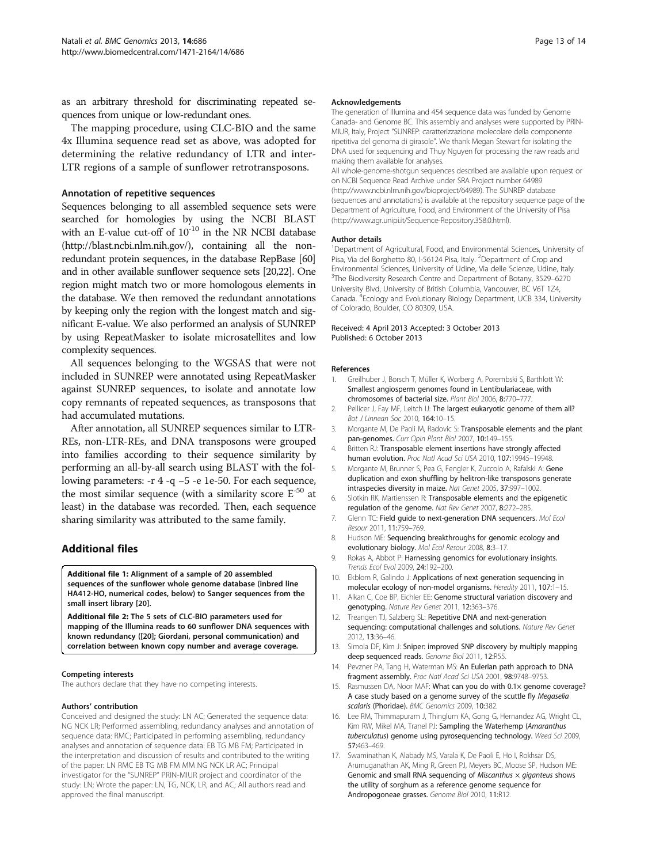<span id="page-12-0"></span>as an arbitrary threshold for discriminating repeated sequences from unique or low-redundant ones.

The mapping procedure, using CLC-BIO and the same 4x Illumina sequence read set as above, was adopted for determining the relative redundancy of LTR and inter-LTR regions of a sample of sunflower retrotransposons.

#### Annotation of repetitive sequences

Sequences belonging to all assembled sequence sets were searched for homologies by using the NCBI BLAST with an E-value cut-off of  $10^{-10}$  in the NR NCBI database ([http://blast.ncbi.nlm.nih.gov/\)](http://blast.ncbi.nlm.nih.gov/), containing all the nonredundant protein sequences, in the database RepBase [\[60](#page-13-0)] and in other available sunflower sequence sets [[20,22\]](#page-13-0). One region might match two or more homologous elements in the database. We then removed the redundant annotations by keeping only the region with the longest match and significant E-value. We also performed an analysis of SUNREP by using RepeatMasker to isolate microsatellites and low complexity sequences.

All sequences belonging to the WGSAS that were not included in SUNREP were annotated using RepeatMasker against SUNREP sequences, to isolate and annotate low copy remnants of repeated sequences, as transposons that had accumulated mutations.

After annotation, all SUNREP sequences similar to LTR-REs, non-LTR-REs, and DNA transposons were grouped into families according to their sequence similarity by performing an all-by-all search using BLAST with the following parameters: -r 4 -q −5 -e 1e-50. For each sequence, the most similar sequence (with a similarity score  $E^{-50}$  at least) in the database was recorded. Then, each sequence sharing similarity was attributed to the same family.

## Additional files

[Additional file 1:](http://www.biomedcentral.com/content/supplementary/1471-2164-14-686-S1.pdf) Alignment of a sample of 20 assembled sequences of the sunflower whole genome database (inbred line HA412-HO, numerical codes, below) to Sanger sequences from the small insert library [\[20](#page-13-0)].

[Additional file 2:](http://www.biomedcentral.com/content/supplementary/1471-2164-14-686-S2.pdf) The 5 sets of CLC-BIO parameters used for mapping of the Illumina reads to 60 sunflower DNA sequences with known redundancy ([\[20](#page-13-0)]; Giordani, personal communication) and correlation between known copy number and average coverage.

#### Competing interests

The authors declare that they have no competing interests.

#### Authors' contribution

Conceived and designed the study: LN AC; Generated the sequence data: NG NCK LR; Performed assembling, redundancy analyses and annotation of sequence data: RMC; Participated in performing assembling, redundancy analyses and annotation of sequence data: EB TG MB FM; Participated in the interpretation and discussion of results and contributed to the writing of the paper: LN RMC EB TG MB FM MM NG NCK LR AC; Principal investigator for the "SUNREP" PRIN-MIUR project and coordinator of the study: LN; Wrote the paper: LN, TG, NCK, LR, and AC; All authors read and approved the final manuscript.

#### Acknowledgements

The generation of Illumina and 454 sequence data was funded by Genome Canada- and Genome BC. This assembly and analyses were supported by PRIN-MIUR, Italy, Project "SUNREP: caratterizzazione molecolare della componente ripetitiva del genoma di girasole". We thank Megan Stewart for isolating the DNA used for sequencing and Thuy Nguyen for processing the raw reads and making them available for analyses.

All whole-genome-shotgun sequences described are available upon request or on NCBI Sequence Read Archive under SRA Project number 64989 ([http://www.ncbi.nlm.nih.gov/bioproject/64989\)](http://www.ncbi.nlm.nih.gov/bioproject/64989). The SUNREP database (sequences and annotations) is available at the repository sequence page of the Department of Agriculture, Food, and Environment of the University of Pisa (<http://www.agr.unipi.it/Sequence-Repository.358.0.html>).

#### Author details

<sup>1</sup>Department of Agricultural, Food, and Environmental Sciences, University of Pisa, Via del Borghetto 80, I-56124 Pisa, Italy. <sup>2</sup>Department of Crop and Environmental Sciences, University of Udine, Via delle Scienze, Udine, Italy. <sup>3</sup>The Biodiversity Research Centre and Department of Botany, 3529-6270 University Blvd, University of British Columbia, Vancouver, BC V6T 1Z4, Canada. <sup>4</sup> Ecology and Evolutionary Biology Department, UCB 334, University of Colorado, Boulder, CO 80309, USA.

#### Received: 4 April 2013 Accepted: 3 October 2013 Published: 6 October 2013

#### References

- 1. Greilhuber J, Borsch T, Müller K, Worberg A, Porembski S, Barthlott W: Smallest angiosperm genomes found in Lentibulariaceae, with chromosomes of bacterial size. Plant Biol 2006, 8:770–777.
- 2. Pellicer J, Fay MF, Leitch IJ: The largest eukaryotic genome of them all? Bot J Linnean Soc 2010, 164:10–15.
- 3. Morgante M, De Paoli M, Radovic S: Transposable elements and the plant pan-genomes. Curr Opin Plant Biol 2007, 10:149-155.
- 4. Britten RJ: Transposable element insertions have strongly affected human evolution. Proc Natl Acad Sci USA 2010, 107:19945–19948.
- 5. Morgante M, Brunner S, Pea G, Fengler K, Zuccolo A, Rafalski A: Gene duplication and exon shuffling by helitron-like transposons generate intraspecies diversity in maize. Nat Genet 2005, 37:997–1002.
- 6. Slotkin RK, Martienssen R: Transposable elements and the epigenetic regulation of the genome. Nat Rev Genet 2007, 8:272–285.
- 7. Glenn TC: Field guide to next-generation DNA sequencers. Mol Ecol Resour 2011, 11:759–769.
- 8. Hudson ME: Sequencing breakthroughs for genomic ecology and evolutionary biology. Mol Ecol Resour 2008, 8:3–17.
- 9. Rokas A, Abbot P: Harnessing genomics for evolutionary insights. Trends Ecol Evol 2009, 24:192–200.
- 10. Ekblom R, Galindo J: Applications of next generation sequencing in molecular ecology of non-model organisms. Heredity 2011, 107:1–15.
- 11. Alkan C, Coe BP, Eichler EE: Genome structural variation discovery and genotyping. Nature Rev Genet 2011, 12:363–376.
- 12. Treangen TJ, Salzberg SL: Repetitive DNA and next-generation sequencing: computational challenges and solutions. Nature Rev Genet 2012, 13:36–46.
- 13. Simola DF, Kim J: Sniper: improved SNP discovery by multiply mapping deep sequenced reads. Genome Biol 2011, 12:R55
- 14. Pevzner PA, Tang H, Waterman MS: An Eulerian path approach to DNA fragment assembly. Proc Natl Acad Sci USA 2001, 98:9748–9753.
- 15. Rasmussen DA, Noor MAF: What can you do with 0.1x genome coverage? A case study based on a genome survey of the scuttle fly Megaselia scalaris (Phoridae). BMC Genomics 2009, 10:382.
- 16. Lee RM, Thimmapuram J, Thinglum KA, Gong G, Hernandez AG, Wright CL, Kim RW, Mikel MA, Tranel PJ: Sampling the Waterhemp (Amaranthus tuberculatus) genome using pyrosequencing technology. Weed Sci 2009, 57:463–469.
- 17. Swaminathan K, Alabady MS, Varala K, De Paoli E, Ho I, Rokhsar DS, Arumuganathan AK, Ming R, Green PJ, Meyers BC, Moose SP, Hudson ME: Genomic and small RNA sequencing of Miscanthus  $\times$  giganteus shows the utility of sorghum as a reference genome sequence for Andropogoneae grasses. Genome Biol 2010, 11:R12.